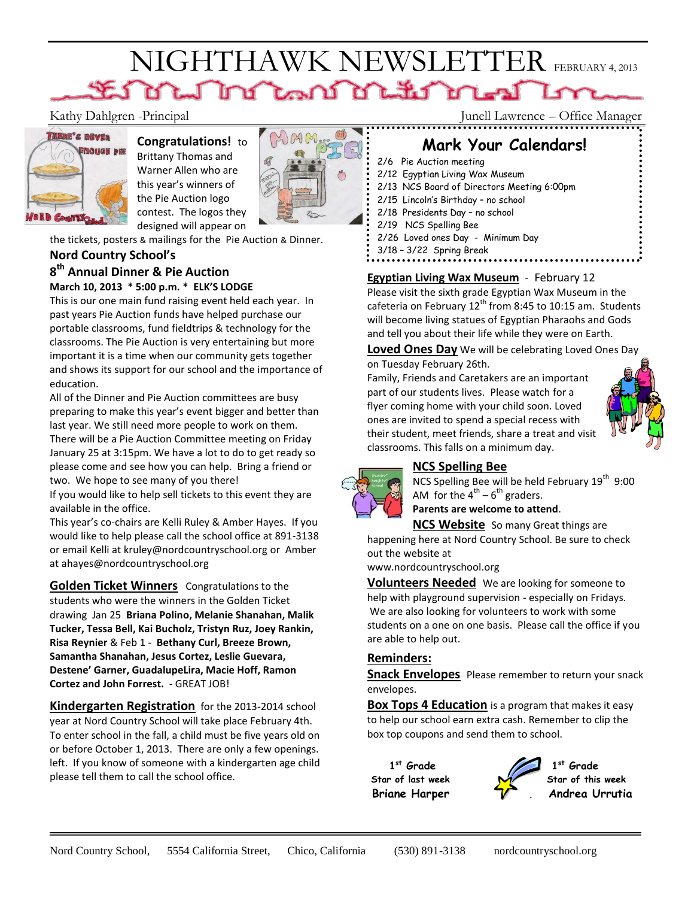# NIGHTHAWK NEWSLETTER FEBRUARY 4, 2013



# **Congratulations!** to

Brittany Thomas and Warner Allen who are this year's winners of the Pie Auction logo contest. The logos they designed will appear on



the tickets, posters & mailings for the Pie Auction & Dinner.

#### **Nord Country School's**

## **8 th Annual Dinner & Pie Auction**

#### **March 10, 2013 \* 5:00 p.m. \* ELK'S LODGE**

This is our one main fund raising event held each year. In past years Pie Auction funds have helped purchase our portable classrooms, fund fieldtrips & technology for the classrooms. The Pie Auction is very entertaining but more important it is a time when our community gets together and shows its support for our school and the importance of education.

All of the Dinner and Pie Auction committees are busy preparing to make this year's event bigger and better than last year. We still need more people to work on them.

There will be a Pie Auction Committee meeting on Friday January 25 at 3:15pm. We have a lot to do to get ready so please come and see how you can help. Bring a friend or two. We hope to see many of you there!

If you would like to help sell tickets to this event they are available in the office.

This year's co-chairs are Kelli Ruley & Amber Hayes. If you would like to help please call the school office at 891-3138 or email Kelli at [kruley@nordcountryschool.org](mailto:kruley@nordcountryschool.org) or Amber at ahayes@nordcountryschool.org

**Golden Ticket Winners** Congratulations to the students who were the winners in the Golden Ticket drawing Jan 25 **Briana Polino, Melanie Shanahan, Malik Tucker, Tessa Bell, Kai Bucholz, Tristyn Ruz, Joey Rankin, Risa Reynier** & Feb 1 - **Bethany Curl, Breeze Brown, Samantha Shanahan, Jesus Cortez, Leslie Guevara, Destene' Garner, GuadalupeLira, Macie Hoff, Ramon Cortez and John Forrest.** - GREAT JOB!

**Kindergarten Registration** for the 2013-2014 school year at Nord Country School will take place February 4th. To enter school in the fall, a child must be five years old on or before October 1, 2013. There are only a few openings. left. If you know of someone with a kindergarten age child please tell them to call the school office.

Kathy Dahlgren -Principal Junell Lawrence – Office Manager

# **Mark Your Calendars!**

- 2/6 Pie Auction meeting
- 2/12 Egyptian Living Wax Museum
- 2/13 NCS Board of Directors Meeting 6:00pm
- 2/15 Lincoln's Birthday no school
- 2/18 Presidents Day no school
- 2/19 NCS Spelling Bee
- 2/26 Loved ones Day Minimum Day
- 3/18 3/22 Spring Break

#### **Egyptian Living Wax Museum** - February 12

Please visit the sixth grade Egyptian Wax Museum in the cafeteria on February  $12^{th}$  from 8:45 to 10:15 am. Students will become living statues of Egyptian Pharaohs and Gods and tell you about their life while they were on Earth.

**Loved Ones Day** We will be celebrating Loved Ones Day on Tuesday February 26th.

Family, Friends and Caretakers are an important part of our students lives. Please watch for a flyer coming home with your child soon. Loved ones are invited to spend a special recess with their student, meet friends, share a treat and visit classrooms. This falls on a minimum day.



### **NCS Spelling Bee**

NCS Spelling Bee will be held February  $19^{th}$  9:00 AM for the  $4^{th}$  –  $6^{th}$  graders.

**Parents are welcome to attend**.

**NCS Website** So many Great things are

happening here at Nord Country School. Be sure to check out the website at

www.nordcountryschool.org

**Volunteers Needed** We are looking for someone to help with playground supervision - especially on Fridays. We are also looking for volunteers to work with some students on a one on one basis. Please call the office if you are able to help out.

#### **Reminders:**

**Snack Envelopes** Please remember to return your snack envelopes.

**Box Tops 4 Education** is a program that makes it easy to help our school earn extra cash. Remember to clip the box top coupons and send them to school.

 $1^{st}$  Grade 1